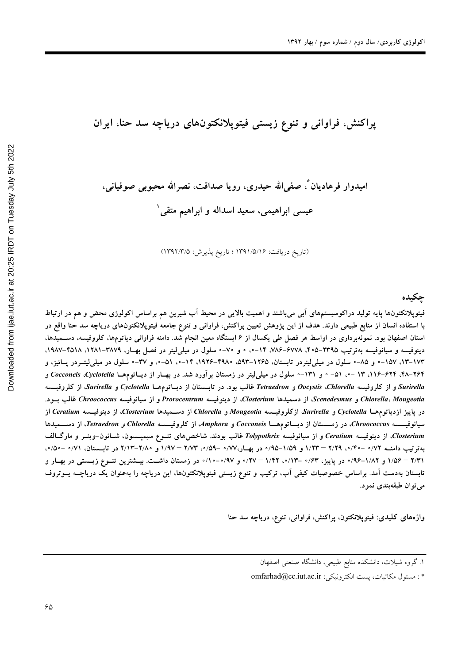حكىدە

# اميدوار فرهاديان ؓ، صفي الله حيدري، رويا صداقت، نصرالله محبوبي صوفياني، عیسی ابراهیمی، سعید اسداله و ابراهیم متقی ٰ

(تاريخ دريافت: ١٣٩١/٥/١۶ ؛ تاريخ پذيرش: ١٣٩٢/٣/٥)

فیتوپلانکتونها پایه تولید دراکوسیستمهای آبی میباشند و اهمیت بالایی در محیط آب شیرین هم براساس اکولوژی محض و هم در ارتباط با استفاده انسان از منابع طبیعی دارند. هدف از این پژوهش تعیین پراکنش، فراوانی و تنوع جامعه فیتوپلانکتونهای دریاچه سد حنا واقع در استان اصفهان بود. نمونهبرداری در اواسط هر فصل طی یکسال از ۶ ایستگاه معین انجام شد. دامنه فراوانی دیاتومها، کلروفیسه، دســمیدها، دینوفیسه و سیانوفیسه بهترتیب ۲۳۹۵–۳۰۵، ۷۸۶–۷۸۶، ۱۴–۰، ۰ و ۷۰–۰ سلول در میلی لیتر در فصل بهار، ۳۸۷۹–۱۹۸۷، ۱۹۸۷–۱۹۸۷، ۱۷۳–۱۳، ۱۵۷–۰ و ۸۵–۰ سلول در میلی(لیتردر تابستان، ۱۲۶۵–۱۹۳، ۱۹۲۶–۱۹۲۶، ۱۴–۰، ۵۱–۰، و ۳۷–۰ سلول در میلی(لیتسردر پسائیز، و ۲۶۴–۲۸. ۱۴۴–۱۱۶. ۱۳–۰، ۵۱– ۰ و ۱۳۱–۰ سلول در میلی(یتر در زمستان برآورد شد. در بهـار از دیــاتومهــا Cocconeis .Cyclotella Surirella و از کلروفیسه Oocystis ،Chlorella و Tetraedron غالب بود. در تابــستان از دیــاتومهــا Surirella و Surirella، از کلروفیــسه Chlorella، Mougeotia و Scenedesmus، از دسميدها Closterium، از دينوفيسه Prorocentrum و از سيانوفيسه Chroococcus غالب بــود. در پاییز ازدیاتومهـا Cyclotella و Surirella، ازکلروفیــسه Mougeotia و Chlorella از دســمیدها Closterium، از دینوفیــسه Ceratium از سیانوفیـــــــه Chroococcus. در زمــــــتان از دیــــاتوممــــا Cocconeis و Amphora، از کلروفیـــــــه Chlorella و Tetraedron. از دســــمیدها Closterium، از دینوفیسه Ceratium و از سیانوفیسه Tolypothrix غالب بودند. شاخصهای تنوع سیمپسسون، شـانون-وینــر و مارگــالف بهترتیب دامنــه ۷۲/۰ –۲/۲۰, ۱/۲۹ – ۱/۲۳ و ۱/۵۹–۹۵/۰ در بهــار،۷۷/۰ –۵/۹/۰ – ۲/۷۳ و ۲/۸۰–۲/۱۳ در تابــستان، ۷۱/۰ –۵/۰، ۲/۳۱ – ۱/۵۶ و ۰/۸۲–۹۶٪ در پاییز، ۰/۴۳–۱/۴۰، ۱/۴۲–۱/۰۰ و ۰/۹۷–۱۰/۰ در زمستان داشــت. بیــشترین تنــوع زیــستی در بهــار و تابستان بهدست آمد. براساس خصوصیات کیفی آب، ترکیب و تنوع زیستی فیتوپلانکتونها، این دریاچه را بهعنوان یک دریاچــه یــوتروف مي توان طبقهبندي نمود.

واژەهای کلیدی: فیتوپلانکتون، پراکنش، فراوانی، تنوع، دریاچه سد حنا

۱. گروه شیلات، دانشکده منابع طبیعی، دانشگاه صنعتی اصفهان

<sup>\*:</sup> مسئول مكاتبات، يست الكترونيكي: omfarhad@cc.iut.ac.ir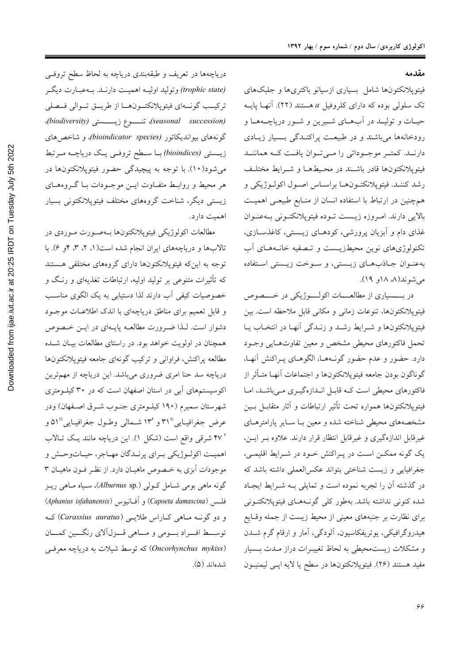**مقدمه** 

فيتوپلانكتونها شامل بسياري ازسيانو باكترىها و جلبكهاي تک سلول<sub>ی</sub> بوده که دارای کلروفیل a هستند (۲۲). آنهـا پایــه حيـات و توليــد در أبهــاي شــيرين و شــور درياچــههــا و رودخانهها می باشند و در طبیعت پراکنـدگی بــسیار زیــادی دارنــد. كمتــر موجــوداتي را مــيتــوان يافــت كــه هماننــد فيتويلانكتونها قادر باشند در محيطهـا و شـرايط مختلـف رشد كننـد. فيتوپلانكتـونهـا براسـاس اصـول اكولـوژيكي و همچنین در ارتباط با استفاده انسان از منابع طبیعی اهمیت بالايي دارند. امـروزه زيــست تــوده فيتوپلانكتــوني بــهعنــوان غذای دام و آبزیان پرورشی، کودهـای زیـستی، کاغذسـازی، تکنولوژیهای نوین محیطزیــست و تــصفیه خانــههــای آب به عنوان جاذب هاى زيستى، وسوخت زيستى استفاده می شوند(۸، ۱۸و ۱۹).

در بسسیاری از مطالعسات اکولسوژیکی در خسصوص فيتوپلانكتونها، تنوعات زماني و مكاني قابل ملاحظه است. بين فيتوپلانكتونها و شـرايط رشـد و زنـدگي آنهـا در انتخـاب يـا تحمل فاكتورهاي محيطى مشخص و معين تفاوتهايي وجـود دارد. حضور و عدم حضور گونـههـا، الگوهـاي پـراكنش أنهـا، گوناگون بودن جامعه فيتويلانكتونها و اجتماعات آنهـا متـأثر از فاکتورهای محیطی است کـه قابـل انـدازهگیـری مـیباشـد، امـا فيتوپلانكتونها همواره تحت تأثير ارتباطات و آثار متقابـل بـين مشخصههای محیطی شناخته شده و معین بــا ســایر پارامترهــای غیرقابل اندازهگیری و غیرقابل انتظار قرار دارند. علاوه بـر ایــن، یک گونه ممکــن اســت در پــراکنش خــود در شــرایط اقلیمــی، جغرافيايي و زيست شناختي بتواند عكس العملي داشته باشد كه در گذشته آن را تجربه نموده است و تمایلی بـه شـرایط ایجـاد شده کنونی نداشته باشد. بهطور کل<sub>ی</sub> گونـههــای فیتوپلانکتــونی برای نظارت بر جنبههای معینی از محیط زیست از جمله وقایع هیدروگرافیکی، یوتریفکاسیون، آلودگی، آمار و ارقام گرم شــدن و مشکلات زیست محیطی به لحاظ تغییـرات دراز مـدت بـسیار مفيد هستند (٢۶). فيتوپلانكتونها در سطح يا لايه اپــي ليمنيــون

درياچهها در تعريف و طبقهبندي درياچه به لحاظ سطح تروفيي (trophic state) وتوليد اوليــه اهميــت دارنــد. بــهعبــارت ديگــر تركيب گونــهاي فيتوپلانكتــونهــا از طريـــق تــوالي فــصلي !*(biodiversity)* '(8GGGG> p6GGGG\* !*(seasonal succession)* گونههای بیواندیکاتور *(bioindicator species)*، و شاخص های زیــستی *(bioindices) بــ*ا ســطح تروفــی یــک دریاچــه مــرتبط می شود(۱۰). با توجه به پیچیدگی حضور فیتوپلانکتونها در هر محیط و روابـط متفـاوت ایــن موجــودات بــا گــروهــای زیستی دیگر، شناخت گروههای مختلف فیتوپلانکتونی بسیار اهميت دارد.

مطالعات اكولوژيكي فيتوپلانكتونها بـهصورت مـوردي در تالابها و دریاچههای ایران انجام شده است(۱، ۲، ۳، ۴و ۶). با توجه به این که فیتوپلانکتونها دارای گروههای مختلفی هستند که تأثیرات متنوعی بر تولید اولیه، ارتباطات تغذیهای و رنـگ و خصوصیات کیفی آب دارند لذا دستیابی به یک الگوی مناسب و قابل تعمیم برای مناطق دریاچهای با اندک اطلاعـات موجــود دشوار است. لـذا ضـرورت مطالعـه پايـهاى در ايــن خـصوص همچنان در اولویت خواهد بود. در راستای مطالعات بیـان شـده مطالعه پراکنش، فراوانی و ترکیب گونهای جامعه فیتوپلانکتونها دریاچه سد حنا امری ضروری میباشد. این دریاچه از مهمترین اکوسیستمهای آبی در استان اصفهان است که در ۳۰ کیلـومتری شهرستان سمیرم (۱۹۰ کیلـومتری جنـوب شـرق اصـفهان) ودر عرض جغرافيـايي°۳۱ و '۱۳ شـمالي وطـول جغرافيـايي°۵۱ و ' ۴۷ شرقی واقع است (شکل ۱). این دریاچه مانند یک تـالاب اهميـت اكولـوژيكي بـراي پرنـدگان مهـاجر، حيـاتوحـش و موجودات آبزی به خـصوص ماهیـان دارد. از نظـر فـون ماهیـان ۳ گونه ماهی بومی شامل کـولی (Alburnus sp.)، سـياه مـاهي ريـز فلسس (*Capoeta damascina)* و آفـانيوس (*Aphanius isfahanensis*) و دو گونـه مـاهي كـاراس طلايـي (Carassius auratus) كـه توسط اف راد بومي و ماهي قـزل آلاي رنگــين كمــان (*Oncorhynchus mykiss)* که توسط شیلات به دریاچه معرف<sub>ی</sub> شدهاند (۵).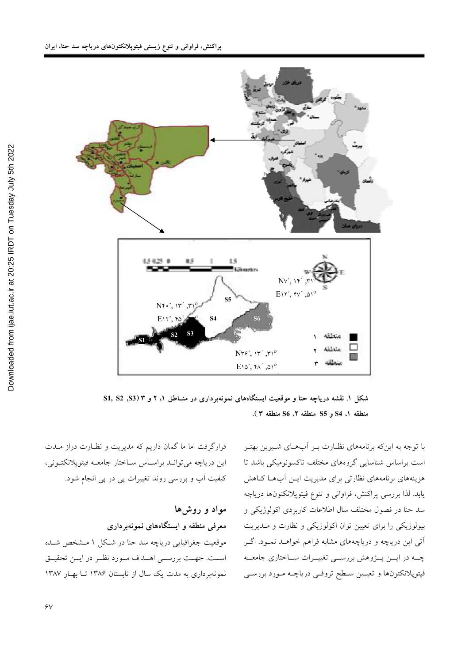

شکل ۱. نقشه دریاچه حنا و موقعیت ایستگاههای نمونهبرداری در منــاطق ۱، ۲ و ۳ (S3, S3, S منطقه ١، S4 و S5 منطقه ٢، S6 منطقه ٣ ).

با توجه به اینکه برنامههای نظـارت بـر آبِهـای شـیرین بهتـر است براساس شناسایی گروههای مختلف تاکسونومیکی باشد تا هزینههای برنامههای نظارتی برای مدیریت ایـن أبهـا كـاهش يابد. لذا بررسي پراكنش، فراواني و تنوع فيتوپلانكتونها درياچه سد حنا در فصول مختلف سال اطلاعات کاربردی اکولوژیکی و بیولوژیکی را برای تعیین توان اکولوژیکی و نظارت و مـدیریت آتی این دریاچه و دریاچههای مشابه فراهم خواهــد نمــود. اگــر چــه در ايـــن پـــژوهش بررســـي تغييـــرات ســـاختاري جامعـــه فیتوپلانکتونها و تعیـین سـطح تروفـی دریاچــه مـورد بررســی

قرارگرفت اما ما گمان داریم که مدیریت و نظـارت دراز مــدت این دریاچه می توانـد براسـاس سـاختار جامعـه فیتوپلانکتـونی، کیفیت آب و بررسی روند تغییرات پی در پی انجام شود.

مواد و روشها معرفی منطقه و ایستگاههای نمونهبرداری موقعیت جغرافیایی دریاچه سد حنا در شکل ۱ مـشخص شـده است. جهـت بررسـي اهـداف مـورد نظـر در ايــن تحقيــق نمونهبر داری به مدت یک سال از تابستان ۱۳۸۶ تـا بهـار ۱۳۸۷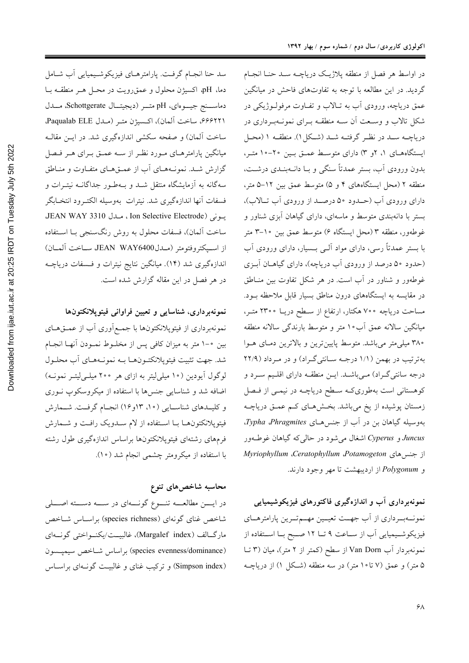در اواسط هر فصل از منطقه پلاژیک دریاچـه سـد حنـا انجـام گردید. در این مطالعه با توجه به تفاوتهای فاحش در میانگین عمق دریاچه، ورودی آب به تـالاب و تفـاوت مرفولـوژیکی در شکل تالاب و وسـعت آن سـه منطقـه بـرای نمونـهبـرداری در دریاچـه سـد در نظـر گرفتـه شـد (شـکل ۱). منطقـه ۱ (محـل ایستگاههای ۱، ۲و ۳) دارای متوسط عمـق بـین ۲۰-۱۰ متـر، بدون ورودي آب، بستر عمدتاً سنگي و بــا دانــهبنــدي درشــت، منطقه ۲ (محل ایستگاههای ۴ و ۵) متوسط عمق بین ۱۲–۵ متر، داراي ورودي آب (حـدود ۵۰ درصـد از ورودي آب تـالاب)، بستر با دانهبندی متوسط و ماسهای، دارای گیاهان آبزی شناور و غوطەور، منطقه ۳ (محل ایستگاه ۶) متوسط عمق بین ۱۰–۳ متر با بستر عمدتاً رسی، دارای مواد آلـی بـسیار، دارای ورودی آب (حدود ۵۰ درصد از ورودي آب درياچه)، داراي گياهــان آبــزي غوطهور و شناور در آب است. در هر شکل تفاوت بین منـاطق در مقایسه به ایستگاههای درون مناطق بسیار قابل ملاحظه بود. مساحت دریاچه ۷۰۰ هکتار، ارتفاع از سـطح دریــا ۲۳۰۰ متـر، میانگین سالانه عمق آب ۱۰ متر و متوسط بارندگی سالانه منطقه ۳۸۰ میلی متر میباشد. متوسط پایین ترین و بالاترین دمای هـوا بهترتیب در بهمن (١/١ درجـه سـانتی گـراد) و در مـرداد (٢٢/٩ درجه سانتیگراد) مـیباشـد. ایــن منطقـه دارای اقلـیم سـرد و کوهستانی است بهطوریکه سطح دریاچـه در نیمـی از فـصل زمستان پوشیده از یخ میباشد. بخشهای کم عمـق دریاچـه بهوسیله گیاهان بن در آب از جنسهای Typha Phragmites. Juncus و Cyperus اشغال میشود در حالی که گیاهان غوطـهور از جنس های Myriophyllum ،Ceratophyllum ،Potamogeton و Polygonum از اردیبهشت تا مهر وجود دارند.

نمونهبرداری آب و اندازهگیری فاکتورهای فیزیکوشیمیایی نمونــهبــرداري از آب جهــت تعيــين مهــمتــرين پارامترهــاي فیزیکوشـیمیایی آب از سـاعت ۹ تــا ۱۲ صـبح بــا اسـتفاده از نمونهبردار آب Van Dorn از سطح (کمتر از ۲ متر)، میان (۳ تــا ۵ متر) و عمق (۷ تا۱۰متر) در سه منطقه (شکل ۱) از دریاچــه

سد حنا انجام گرفت. پارامترهاي فيزيكوشيميايي أب شامل دما، pH، اكسيژن محلول و عمق رويت در محـل هـر منطقــه بــا دماسـنج جيــوهاي، pH متــر (ديجيتــال Schottgerate، مــدل ۶۶۶۲۲۱، ساخت آلمان)، اكسيژن متر (ملل Paqualab ELE. ساخت آلمان) و صفحه سکشی اندازهگیری شد. در ایــن مقالــه میانگین پارامترهـای مـورد نظـر از سـه عمـق بـرای هـر فـصل گزارش شـد. نمونـههـای آب از عمــقهـای متفـاوت و منـاطق سهگانه به آزمایشگاه منتقل شــد و بــهطـور جداگانــه نیتــرات و فسفات آنها اندازهگیری شد. نیترات بهوسیله الکتـرود انتخـابگر يونى (Ion Selective Electrode ، مىدل JEAN WAY 3310 ساخت آلمان)، فسفات محلول به روش رنگسنجی بـا اسـتفاده از اسـپكتروفتومتر (مــدل400% JEAN WAY سـاخت آلمــان) اندازهگیری شد (۱۴). میانگین نتایج نیترات و فـسفات دریاچــه در هر فصل در این مقاله گزارش شده است.

### نمونهبرداری، شناسایی و تعیین فراوانی فیتوپلانکتونها

نمونهبرداری از فیتوپلانکتونها با جمع آوری آب از عمــقهــای بین •-۱ متر به میزان کافی پس از مخلوط نمـودن آنهـا انجـام شد. جهت تثبیت فیتویلانکتـونهــا بــه نمونــههــای آب محلــول لوگول آیودین (۱۰میلی لیتر به ازای هر ۲۰۰ میله لیتـر نمونـه) اضافه شد و شناسایی جنسها با استفاده از میکروسکوپ نوری و کلیــدهای شناســایی (۱۰، ۱۳و۱۶) انجــام گرفــت. شــمارش فیتوپلانکتونها با استفاده از لام سدویک رافت و شمارش فرمهاى رشتهاى فيتوپلانكتونها براساس اندازهگيرى طول رشته با استفاده از میکرومتر چشمی انجام شد (١٠).

# محاسبه شاخصهای تنوع

در ایسن مطالعـــه تنـــوع گونــــهای در ســــه دســـته اصــــلی شاخص غناي گونهاي (species richness) براسـاس شـاخص ماركالف (Margalef index)، غالبيت/يكنواختى گونسەاي (species evenness/dominance) براساس شباخص سيميسون (Simpson index) و ترکیب غنای و غالبیت گونـهای براسـاس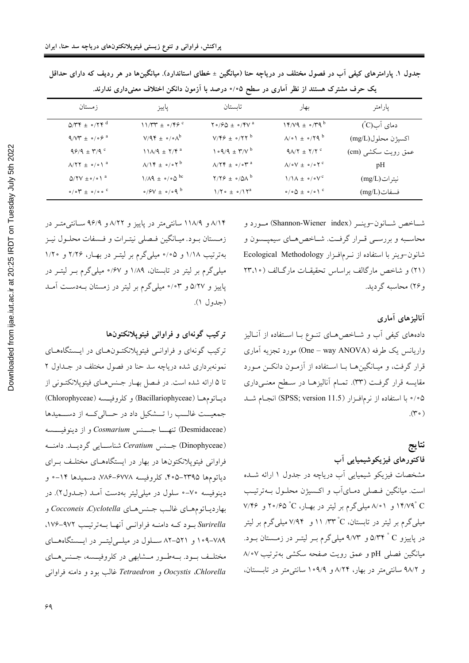| زمستان                                                 | پاييز                                                    | تاسىتان                                                    | بهار                                                            | پارامتر            |
|--------------------------------------------------------|----------------------------------------------------------|------------------------------------------------------------|-----------------------------------------------------------------|--------------------|
| $Q/\Upsilon \Upsilon \pm o/\Upsilon \Upsilon^{d}$      | $11/TY \pm 0/Y9$                                         | $Y \circ$ / $\varphi \Delta \pm \circ$ / $YV$ <sup>a</sup> | $14/V4 \pm 0/T4^b$                                              | دمای آب(Cٌ)        |
| $9/V^* \pm 0.09^{\circ}$                               | $V/9$ ۴ ± $\circ$ / $\circ \wedge^b$                     | $V/F9 \pm o/77^b$                                          | $\Lambda$ / $\circ$ \ $\pm$ $\circ$ / $\Upsilon$ 9 <sup>b</sup> | اكسيژن محلول(mg/L) |
| $99/9 \pm 19/9$                                        | $11\lambda/9 \pm 7/9$ <sup>a</sup>                       | $1 \cdot 9/9 \pm 7/10$                                     | $9\lambda/T \pm 7/T$                                            | عمق رويت سكشي (cm) |
| $\Lambda/\Upsilon\Upsilon \pm o/e \Upsilon^a$          | $\Lambda/\Upsilon \pm \circ/\circ \Upsilon^b$            | $\Lambda/\Upsilon\Upsilon \pm o/eV^a$                      | $\Lambda/\circ V \pm \circ/\circ Y^c$                           | pH                 |
| $Q/7V \pm o / o$ <sup>a</sup>                          | $1/\Lambda$ 9 ± $\circ$ / $\circ$ $\Delta$ <sup>bc</sup> | $Y/Y$ $\neq \circ/\Delta\Lambda^b$                         | $1/\lambda \pm o/v^c$                                           | نيتر ات (mg/L)     |
| $\circ / \circ \Upsilon \pm \circ / \circ \circ \circ$ | $\circ$ / $\circ$ V $\pm$ $\circ$ / $\circ$ q $\circ$    | $1/\Upsilon \circ \pm \circ /1 \Upsilon^a$                 | $\circ$ / $\circ$ $\Delta$ $\pm$ $\circ$ / $\circ$ \ $\circ$    | فسفات(mg/L)        |

جدول ۱. پارامترهای کیفی آب در فصول مختلف در دریاچه حنا (میانگین ± خطای استاندارد). میانگینها در هر ردیف که دارای حداقل یک حرف مشترک هستند از نظر آماری در سطح ۰/۰۵ درصد با آزمون دانکن اختلاف معنیداری ندارند.

شاخص شانون-وينـر (Shannon-Wiener index) مورد و محاسـبه و بررسـي قـرار گرفـت. شـاخص هـاي سيمپــسون و شانون-وينر با استفاده از نـرمافـزار Ecological Methodology (۲۱) و شاخص ماركالف براساس تحقيقـات ماركـالف (٢٣،١٠ و ۲۶) محاسبه گردید.

آنالیزهای آماری دادههای کیفی آب و شـاخصهـای تنـوع بـا اسـتفاده از آنـالیز واریانس یک طرفه (One – way ANOVA) مورد تجزیه آماری قرار گرفت، و میـانگینهـا بـا اسـتفاده از آزمـون دانکــن مـورد مقایسه قرار گرفت (۳۳). تمـام آنالیزهـا در سـطح معنـیداری ۰/۰۵ با استفاده از نرمافـزار (SPSS; version 11.5) انجـام شـد  $(\check{r} \circ)$ 

### نتايج

فاکتورهای فیزیکوشیمیایی آب

مشخصات فیزیکو شیمیایی آب دریاچه در جدول ۱ ارائه شــده است. میانگین فـصلی دمـایآب و اکـسیژن محلـول بـهترتیـب ۲۴/۷۹ و ۸/۰۱ میلیگرم بر لیتر در بهـار، ۲۵ °۲۰/۶۵ و ۷/۴۶ میلمیگرم بر لیتر در تابستان، C° ۱۱ /۳۳° او ۷/۹۴ میلمیگرم بر لیتر در پاییزو C° ۵/۳۴ و ۹/۷۳ میلیگرم بـر لیتـر در زمـستان بـود. میانگین فصلی pH و عمق رویت صفحه سکشی بهترتیب ۸/۰۷ و ۹۸/۲ سانتی متر در بهار، ۸/۲۴ و ۱۰۹/۹ سانتی متر در تابستان،

۸/۱۴ و ۱۱۸/۹ سانتی متر در پاییز و ۸/۲۲ و ۹۶/۹ سـانتی متـر در زمستان بود. ميـانگين فـصلي نيتـرات و فـسفات محلـول نيـز بهترتیب ۱/۱۸ و ۰/۰۵ میلی گرم بر لیتـر در بهـار، ۲/۲۶ و ۱/۲۰ میلی گرم بر لیتر در تابستان، ۱/۸۹ و ۶۷/۰ میلی گرم بــر لیتــر در پاییز و ۵/۲۷ و ۰/۰۳ میلیگرم بر لیتر در زمستان بهدست آمـد (جدول ۱).

# ترکیب گونهای و فراوانی فیتوپلانکتونها

ترکیب گونهای و فراوانـی فیتوپلانکتـون(هـای در ایـستگاههـای نمونهبرداری شده دریاچه سد حنا در فصول مختلف در جـداول ۲ تا ۵ ارائه شده است. در فيصل بهبار جنسهاى فيتوپلانكتوني از ديساتومها (Bacillariophyceae) وكلروفيسمه (Chlorophyceae) جمعیت غالب را تــشكیل داد در حــالی كــه از دســمیدها (Desmidaceae) تنهــــا جــــنس Cosmarium و از دينوفيــــسه (Dinophyceae) جسنس Ceratium شناسايي گرديسد. دامنه فراوانی فیتوپلانکتونها در بهار در ایستگاههـای مختلـف بـرای دياتومها ٢٣٩۵–۴۰۵، كلروفيسه ٧٨٤–٧٨۶، دسميدها ١۴–۰ و دینوفیسه ۷۰-۰ سلول در میلی لیتر بهدست آمـد (جـدول۲). در بهارديــاتومهــاي غالــب جــنسهــاي Cocconeis ،Cyclotella و Surirella بود کـه دامنــه فراوانــی آنهـا بــهترتیـب ۹۷۲-۱۷۶. ۷۸۹-۱۰۹ و ۵۲۱-۸۲ سلول در میله لیت در ایسستگاههای مختلـف بــود. بــهطــور مــشابهي در كلروفيــسه، جــنس۵هــاي Chlorella و Tetraedron غالب بود و دامنه فراواني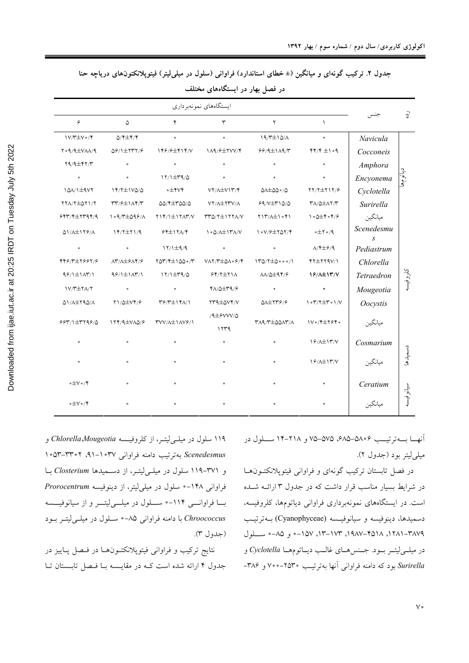| جدول ۲. ترکیب گونهای و میانگین (± خطای استاندارد) فراوانی (سلول در میلی[یتر) فیتوپلانکتونهای دریاچه حنا |
|---------------------------------------------------------------------------------------------------------|
|---------------------------------------------------------------------------------------------------------|

| $\hat{c}$ |                 |                                                                  |                                                                                                           |                                                                                     |                                                       |                                                           |                                           |  |
|-----------|-----------------|------------------------------------------------------------------|-----------------------------------------------------------------------------------------------------------|-------------------------------------------------------------------------------------|-------------------------------------------------------|-----------------------------------------------------------|-------------------------------------------|--|
|           |                 | $\mathcal{L}$                                                    | $\mathbf{r}$                                                                                              | $\mathbf{\breve{r}}$                                                                | $\mathbf{r}$                                          | ۵                                                         | ۶                                         |  |
|           | Navicula        | $\bullet$                                                        | $19/T \pm 10/A$                                                                                           | $\bullet$                                                                           | $\bullet$                                             | ۴/۴±۴⁄۴                                                   | $V/T \pm V \cdot / 5$                     |  |
|           | Cocconeis       | $f(f/f \pm 1 \circ f)$                                           | $99/9 \pm 119/7$                                                                                          |                                                                                     | 146/6744/14/10 1/14/672/14                            | 56/1±137/6                                                | $Y \circ \frac{q}{4}V \wedge \wedge / q$  |  |
|           | Amphora         | $\bullet$                                                        | $\bullet$                                                                                                 | $\bullet$                                                                           | $\bullet$                                             | $\bullet$                                                 | $Y9/4\pm YY/T$                            |  |
| دیا تو م  | Encyonema       | $\bullet$                                                        | $\bullet$                                                                                                 | $\bullet$ $\bullet$                                                                 | $17/1 \pm 79/2$                                       | $\bullet$                                                 | $\bullet$                                 |  |
|           | Cyclotella      | $YY/Y \pm YYY$                                                   | $0 \triangle 0 0 \cdot 10$                                                                                | VY/A±VIY/Y                                                                          | $\circ \pm \mathfrak{r} \vee \mathfrak{r}$            | $14/7 \pm 100/0$                                          | $101/1 \pm 907$                           |  |
|           | Surirella       | $\mathsf{r}_{\Lambda/\mathsf{Q}}\pm\Lambda\mathsf{Y}/\mathsf{r}$ | $99/V \pm r 10/0$                                                                                         | VY/A±YYY/A                                                                          | $\Delta\Delta/\Upsilon\pm\Upsilon\Delta\Delta/\Delta$ | $\Upsilon\Upsilon/\Upsilon \pm 1\Lambda\Upsilon/\Upsilon$ | $YYA/Y\pm QY1/Y$                          |  |
|           | ميانگين         | $\cdot$ $\Delta$ + $\cdot$ $\cdot$ $\cdot$ $\cdot$ $\cdot$       | $YY/\lambda \pm 1 \cdot Y$                                                                                | $\mathsf{TT}\Delta/\mathsf{Y} \pm \mathsf{I}\mathsf{Y}\mathsf{Y}\Lambda/\mathsf{V}$ | $YY/Y/\pm YXY/Y$                                      | $1.9/7 \pm 0.99/1$                                        | ۶۴۳/۴±۲۳۹۴/۹                              |  |
|           | Scenedesmu<br>S | $\circ \pm \text{y} \circ \text{y}$                              | 1.V/9±707/4                                                                                               | 1.0/A±1۳A/V                                                                         | $55 + 171$                                            | $Y^{\ast}/Y^{\pm}$                                        | A1/A±119/A                                |  |
|           | Pediastrum      | $\lambda$ /۴ $\pm$ ۶/۹                                           | $\overline{\phantom{a}}$                                                                                  |                                                                                     | $17/1 \pm 9/9$                                        | $\bullet$ $\bullet$                                       | $\bullet$ $\bullet$                       |  |
|           | Chlorella       | $YY \pm YYQV/Y$                                                  | $170/7 \pm 0.000/1$                                                                                       | $V\Lambda\Upsilon/\Upsilon \pm \Delta \Lambda \circ \mathcal{S}/\Upsilon$           | $Y\Delta Y/\sqrt{2}$ + 100 $\cdot$ / $\gamma$         | $\Lambda$ ۳/ $\Lambda$ $\pm$ ۶ $\Lambda$ ۴/۶              | 448/477681/8                              |  |
| كلروفيسا  | Tetraedron      | 19/11/17/V                                                       | 88/10+44                                                                                                  | $94/7 \pm 71$                                                                       | $\gamma$ / $\pm$ $\uparrow$ 4/2                       | $99/1 \pm 117/1$                                          | $99/1 \pm 117/1$                          |  |
|           | Mougeotia       | $\bullet$                                                        | $\bullet$                                                                                                 | $Y\Lambda/\Delta \pm Y\gamma/\gamma$                                                | $\bullet$ $\bullet$                                   | $\bullet$ $\bullet$                                       | $1V/T \pm 7A/T$                           |  |
|           | Oocystis        | $\frac{1}{\sqrt{2}}$                                             | $\Delta \lambda \pm 779/9$                                                                                | <b>TTAIOVY/V</b>                                                                    | $\Upsilon$ ۶/۳ $\pm$ ۱۴۸/۱                            | Y \ / Q±V \ / 6                                           | $\Delta\backslash\Delta\pm\Upsilon$ 9.0/1 |  |
|           | ميانگين         | $\gamma \cdot \gamma + \gamma \cdot \gamma$                      | $\mathsf{Y}\wedge\mathsf{A}\wedge\mathsf{Y}\pm\mathsf{A}\wedge\mathsf{A}\wedge\mathsf{Y}\wedge\mathsf{A}$ | $/9\pm$ ۶۷۷۷/۵<br>1579                                                              | <b>TVV/A±1AVS/1</b>                                   | 174/9±VAQ/8                                               | $557/1 \pm 119/0$                         |  |
|           | Cosmarium       | $\frac{1}{2}$                                                    | $\bullet$                                                                                                 | $\bullet$                                                                           | $\bullet$                                             |                                                           | $\bullet$                                 |  |
| دسميدها   | ميانگين         | $\frac{1}{2}$                                                    | $\bullet$                                                                                                 | $\bullet$                                                                           | $\bullet$                                             |                                                           | $\bullet$                                 |  |
| لي<br>آه  | Ceratium        | $\circ$                                                          | $\circ$                                                                                                   | $\bullet$                                                                           | $\circ$                                               |                                                           | $\circ \pm V \circ / \check{Y}$           |  |
|           | ميانگين         | $\bullet$                                                        | $\bullet$                                                                                                 | $\bullet$                                                                           |                                                       |                                                           | $\circ \pm V \circ / \check{Y}$           |  |
|           |                 |                                                                  |                                                                                                           |                                                                                     |                                                       |                                                           |                                           |  |

در فصل بهار در ایستگاههای مختلف

انهــا بـــهترتيـــب ۵۸۰۶–۵۸۵ ۵۷۵–۷۵ و ۲۱۸–۱۴ ســـلول در ميلي[يتر بود (جدول ٢).

در فصل تابستان ترکیب گونهای و فراوانی فیتوپلانکتـونهـا در شرایط بسیار مناسب قرار داشت که در جدول ۳ ارائــه شــده است. در ایستگاههای نمونهبرداری فراوانی دیاتومها، کلروفیسه، دسميدها، دينوفيسه و سيانوفيسه (Cyanophyceae) بهترتيب ٢٨٧٩. ٢٥١٨، ٩٩٨٧-٢٥١٨، ١٣-١٧٣، ١٥٧-٥ و ٨٥-٥ سلول در میلــی[بیتــر بــود. جــنسهــای غالــب دیــاتومهــا *Cyclotella و* Å\_- {qqÅq nGE1 #-H '-&& E\*2& EF 61 *Surirella*

۱۱۹ سلول در میل<sub>می</sub>لیتـر، از کلروفیـسه *Chlorella Mougeotia* و Scenedesmus بهترتيب دامنه فراوان<sub>ی '۹</sub>۱-۰۴۷', ۰۵۳-۵۳-۱۰۵۲ و ۲۷۱-۱۱۹ سلول در میل*ی ل*یتـر، از دسـمیدها Closterium بـا فراوانی ۱۴۸-° سلول در میل<sub>ی</sub>لیتر، از دینوفیسه *Prorocentrum* بسا فراوانسی ۱۱۴-• سلول در میلهی لیتسر و از سیانوفیسسه 6G1 G(:'GB2 56BG= qÅ\_ '-&& E\*2& 1 *Chroococcus* (جدول ٣).

نتايج تركيب و فراواني فيتوپلانكتـونهـا در فـصل پـاييز در جدول ۴ ارائه شده است کـه در مقایـسه بـا فـصل تابـستان تـا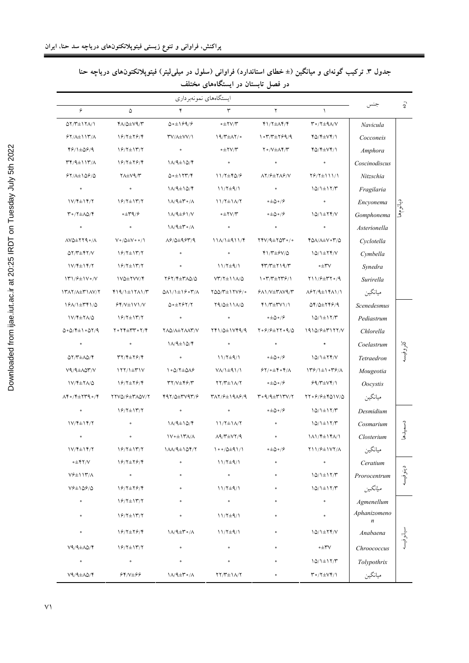| ايستگاههاي نمونهبرداري                                      |                                                         |                                                                      |                                                                        |                                                                                                |                                                                                                                        |                  |          |
|-------------------------------------------------------------|---------------------------------------------------------|----------------------------------------------------------------------|------------------------------------------------------------------------|------------------------------------------------------------------------------------------------|------------------------------------------------------------------------------------------------------------------------|------------------|----------|
| $\varphi$                                                   | ۵                                                       | ۴                                                                    | ٣                                                                      | ٢                                                                                              | $\lambda$                                                                                                              |                  | ᠗        |
| 57/٣±١٢٨/١                                                  | YA/Q±V9/Y                                               | 0.4199/5                                                             | $\circ \pm \Upsilon V/\Upsilon$                                        | $Y1/T \pm \Lambda Y/Y$                                                                         | $\upmu_0/\upmu_0$                                                                                                      | Navicula         |          |
| $Y/\lambda \pm 117/\lambda$                                 | 18/7±78/4                                               | <b>TV/A±VV/1</b>                                                     | $19/T \pm \Lambda 7$                                                   | $1°7/T \pm 799/9$                                                                              | 40/4±74/1                                                                                                              | Cocconeis        | دياتومها |
| 48/1±58/9                                                   | $19/7 \pm 17/7$                                         | $\circ$                                                              | $\circ \pm \Upsilon V/\Upsilon$                                        | $\Upsilon \circ /V \pm \Lambda \Upsilon / \Upsilon$                                            | 40/4±74/1                                                                                                              | Amphora          |          |
| $\uparrow\uparrow/\uparrow\pm1$ $\uparrow\uparrow/\uparrow$ | $19/7\pm79/7$                                           | $1/\sqrt{4}\pm10/\sqrt{2}$                                           | $\bullet$                                                              | $\circ$                                                                                        | $\bullet$                                                                                                              | Coscinodiscus    |          |
| $51/\lambda \pm 109/\Delta$                                 | <b>YA±V9/Y</b>                                          | $0 \cdot \pm 1$ $\uparrow \uparrow \uparrow \uparrow$                | 11/7±40/8                                                              | $\lambda$ Y/ $\frac{1}{2}$ $\pm$ Y $\lambda$ $\frac{1}{2}$ /V                                  | $Y$ $/$ $Y$ $\pm$ $1$ $1$ $/$ $1$                                                                                      | Nitzschia        |          |
| $\circ$                                                     | $\bullet$                                               | $1/\sqrt{4}\pm10/\sqrt{2}$                                           | $11/7\pm9/1$                                                           | $\circ$                                                                                        | $10/1 \pm 17/7$                                                                                                        | Fragilaria       |          |
| $1V/\sqrt{2} \pm 1\sqrt{7}$                                 | $19/7\pm17/7$                                           | $1/\sqrt{4\pm r \cdot / \Lambda}$                                    | $11/7\pm1\Lambda/T$                                                    | $\circ \pm \Delta \circ / \hat{\epsilon}$                                                      | $\bullet$                                                                                                              | Encyonema        |          |
| $\uparrow \circ / \uparrow \pm \Lambda \varphi / \uparrow$  | ∘±۳۹/۶                                                  | $1/\sqrt{4\pm}$ $9/\sqrt{2}$                                         | $\circ \pm \Upsilon V/\Upsilon$                                        | $\circ \pm \Delta \circ / \hat{\epsilon}$                                                      | $10/1 \pm 77/ V$                                                                                                       | Gomphonema       |          |
| $\bullet$                                                   | $\bullet$                                               | $1/\sqrt{4\pm r \cdot / \Lambda}$                                    |                                                                        |                                                                                                | $\bullet$                                                                                                              | Asterionella     |          |
| $\Lambda V \Delta \pm Y Y \Omega \cdot / \Lambda$           | $V \circ / \Delta \pm V \circ \circ / \Lambda$          | $\lambda$ ۶/۵ $\pm$ ۹۶۳/۹                                            | $11/\sqrt{1}$ $\pm$ 911/4                                              | $YYV/9 \pm Y\Delta Y \cdot / \cdot$                                                            | LOV/VTA 04/0                                                                                                           | Cyclotella       |          |
| $QY/Y \pm YY/V$                                             | $19/7\pm17/7$                                           | $\bullet$                                                            | $\bullet$                                                              | $Y1/T\pm YV/\Delta$                                                                            | $10/1 \pm 77/$                                                                                                         | Cymbella         |          |
| $1V/\sqrt{2} \pm 1\sqrt{7}$                                 | $19/7 \pm 17/7$                                         | $\bullet$                                                            | $11/7\pm9/1$                                                           | $YY/T+Y$ 19/                                                                                   | ∿۳+∘                                                                                                                   | Synedra          |          |
| $\frac{1}{r}\frac{1}{r}$                                    | <b>IVQ±YVV/Y</b>                                        | 797/4±30/0                                                           | $VT/T\pm11\Lambda/\Delta$                                              | $\frac{1}{2}$ $\frac{1}{2}$                                                                    | $Y11/7 \pm Y7.9$                                                                                                       | Surirella        |          |
| 1٣٨٢/٨±٣١٨٧/٢                                               | $Y19/1 \pm 1711/T$                                      | $Q$ $\Lambda$ $\Lambda$ $\pm$ $\gamma$ $\epsilon$ $\gamma$ $\Lambda$ | $Y00/Y \pm YY9$                                                        | <b>۶۸۱/V±۳۸V۹/۳</b>                                                                            | $\lambda$ ۶۲/۹ $\pm$ ۱۴۸۱/۱                                                                                            | ميانگين          |          |
| 1911 + 1741/0                                               | $YY/Y \pm YY/Y$                                         | $\Delta$ ° $\pm$ Y $>$ Y $/$ Y                                       | $\uparrow \uparrow / \uparrow \pm \uparrow \uparrow \wedge / \uparrow$ | $Y\frac{Y+Y}{Y+Y}$                                                                             | $QY/Q \pm YYY/9$                                                                                                       | Scenedesmus      |          |
| 1V/Y±YA/Q                                                   | $\frac{8}{7}$                                           | $\bullet$                                                            |                                                                        | ∘±۵∘/۶                                                                                         | $10/1 \pm 17/7$                                                                                                        | Pediastrum       |          |
| $0.075 - 0.0779$                                            | $Y \circ Y Y \pm Y Y \circ Y / Y$                       | YAQ/A±YAAY/V                                                         | 141/0±1049/9                                                           | $Y \circ \frac{9}{5} + Y \circ \frac{9}{20}$                                                   | $1910/7\pm T177/V$                                                                                                     | Chlorella        |          |
| $\bullet$                                                   | $\circ$                                                 | $1/\sqrt{4\pm10/\gamma}$                                             | $\circ$                                                                | $\bullet$                                                                                      | $\bullet$                                                                                                              | Coelastrum       |          |
| 07/7±10/4                                                   | $\uparrow\uparrow/\uparrow\pm\uparrow\uparrow/\uparrow$ | $\bullet$                                                            | $11/7\pm9/1$                                                           | ∘±۵∘⊅۶                                                                                         | $10/1 \pm 77/$                                                                                                         | Tetraedron       | كلروفيسه |
| $V$ 9/9 $\pm$ ло۳/ $V$                                      | $177/1 \pm 71V$                                         | $\cdot$ $\circ$ $\lambda$ $\pm$ $\Delta$                             | $V/\lambda \pm 9$ ) / \                                                | $57/0 = 67/12$                                                                                 | $\frac{179}{1}$ $\frac{1}{1}$ $\frac{179}{1}$                                                                          | Mougeotia        |          |
| 1V/Y±YA/Q                                                   | 18/7±78/4                                               | $\mathsf{r}\mathsf{y}/\mathsf{y}\pm\mathsf{y}\mathsf{y}/\mathsf{y}$  | $\uparrow\uparrow/\uparrow\pm\uparrow\wedge/\uparrow$                  | ∘±۵∘/۶                                                                                         | $99/T{\pm}V$                                                                                                           | <i>Oocystis</i>  |          |
| $\Lambda$ ۴۰/۴ $\pm$ ۲۳۹۰/۴                                 | YYVQ/8±MAQV/Y                                           | $497/\Delta \pm 7797/5$                                              | TAY/8±19A8/9                                                           | $\mathsf{r}\circ \mathsf{q}/\mathsf{q}\pm \mathsf{r}\mathsf{1}\mathsf{r}\mathsf{v}/\mathsf{r}$ | 77.8/8±401V/0                                                                                                          | ميانگين          |          |
|                                                             | $19/7 \pm 17/7$                                         | $\bullet$                                                            | $\bullet$                                                              | ∘±۵∘⊅۶                                                                                         | $10/1 \pm 17/7$                                                                                                        | Desmidium        |          |
| $1V/F \pm 1F/Y$                                             |                                                         | $1/\sqrt{4\pm10/\pi}$                                                | $11/7\pm1/\gamma$                                                      | $\circ$                                                                                        | $10/1 \pm 17/T$                                                                                                        | Cosmarium        |          |
|                                                             |                                                         | 1V o ± 1۳۸/۸                                                         | $\Lambda$ 9/٣ $\pm$ $V$ ۲/٩                                            |                                                                                                | $1\Lambda$ 1/۴ $\pm$ 1۴ $\Lambda$ /1                                                                                   | Closterium       | دسميدها  |
| $1V/F \pm 1Y/Y$                                             | $19/7 \pm 17/7$                                         | $1\lambda\lambda/9\pm1\Delta5/7$                                     | $\frac{1}{0}$ o $\frac{1}{0}$ $\pm$ 9 $\frac{1}{1}$                    | $\circ \pm \Delta \circ / \mathcal{S}$                                                         | Y11/9±1VY/A                                                                                                            | ميانگين          |          |
| ∘±۴۲/∨                                                      | 18/7±78/4                                               | $\circ$                                                              | $11/7\pm9/1$                                                           | $\circ$                                                                                        | $\bullet$                                                                                                              | Ceratium         |          |
| $V$ ۶ $\pm$ ۱۱۳/ $\wedge$                                   | $\bullet$                                               | $\circ$                                                              | $\circ$                                                                | $\circ$                                                                                        | $\backslash\mathop{\textstyle\bigcirc}/\backslash\pm\backslash\mathop{\textstyle\bigcirc}/\mathop{\textstyle\bigcirc}$ | Prorocentrum     | دينوفيسا |
| $V$ ۶ $\pm$ ۱۵۶/۵                                           | 18/7±78/4                                               |                                                                      | $11/7\pm9/1$                                                           |                                                                                                | $10/1 \pm 17/T$                                                                                                        | ميانگين          |          |
| $\bullet$                                                   | $19/7\pm17/7$                                           |                                                                      | $\circ$                                                                |                                                                                                | $\bullet$                                                                                                              | Agmenellum       |          |
| $\circ$                                                     | $19/7 \pm 17/7$                                         | $\circ$                                                              | $11/7\pm9/1$                                                           | $\circ$                                                                                        | $\bullet$                                                                                                              | Aphanizomeno     |          |
| $\circ$                                                     | 18/7±78/4                                               | $1/\sqrt{4\pm r \cdot / \Lambda}$                                    | $11/7\pm9/1$                                                           | $\circ$                                                                                        | $10/1 \pm 77/ V$                                                                                                       | $\boldsymbol{n}$ |          |
|                                                             |                                                         |                                                                      |                                                                        |                                                                                                |                                                                                                                        | Anabaena         | سانوفيسه |
| $V9/4\pm\Lambda\Delta/\Upsilon$                             | $19/7 \pm 17/7$                                         | $\bullet$                                                            | $\bullet$                                                              | $\bullet$                                                                                      | ∙±۳۷                                                                                                                   | Chroococcus      |          |
| $\bullet$                                                   | $\bullet$                                               | $\bullet$                                                            |                                                                        | $\circ$                                                                                        | $10/1 \pm 17/T$                                                                                                        | Tolypothrix      |          |
| $V9/4\pm\Lambda\Delta/\Upsilon$                             | 64/7+66                                                 | $\Lambda/4\pm\Gamma \circ/\Lambda$                                   | $YY/ Y\pm 1/\Lambda Y$                                                 | $\circ$                                                                                        | $\uparrow \circ / \uparrow \pm \vee \uparrow / \uparrow$                                                               | ميانگين          |          |

جدول ۳. ترکیب گونهای و میانگین (± خطای استاندارد) فراوانی (سلول در میلی[یتر) فیتوپلانکتونهای دریاچه حنا در فصل تابستان در ایستگاههای مختلف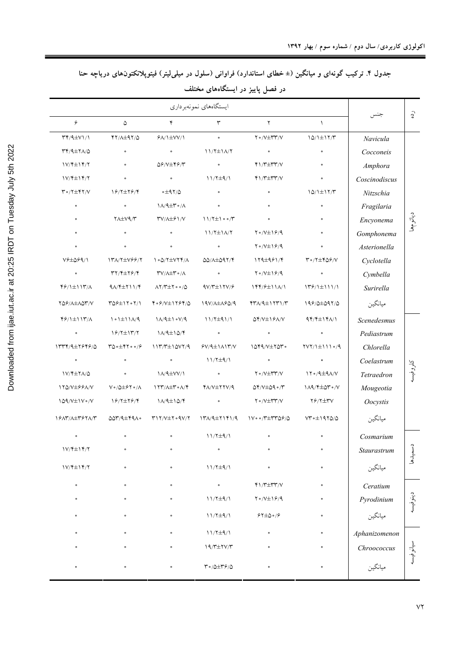جدول ۴. ترکیب گونهای و میانگین (± خطای استاندارد) فراوانی (سلول در میلی[یتر) فیتوپلانکتونهای دریاچه حنا

|           | در فصل پاییز در آیستگاههای محتلف |                                                   |                                                     |                                                                 |                                                                               |                                                                                   |                                                       |  |  |  |  |
|-----------|----------------------------------|---------------------------------------------------|-----------------------------------------------------|-----------------------------------------------------------------|-------------------------------------------------------------------------------|-----------------------------------------------------------------------------------|-------------------------------------------------------|--|--|--|--|
|           |                                  |                                                   |                                                     | ايستگاههاي نمونهبرداري                                          |                                                                               |                                                                                   |                                                       |  |  |  |  |
| $\hat{c}$ | جنس                              | $\lambda$                                         | ٢                                                   | ٣                                                               | ۴                                                                             | ۵                                                                                 | ۶                                                     |  |  |  |  |
|           | Navicula                         | $10/1 \pm 17/7$                                   | $\Upsilon \circ /V \pm \Upsilon \Upsilon'/V$        | $\bullet$                                                       | $9\lambda/\frac{1}{2}VV/\sqrt{2}$                                             | $YY/\lambda \pm 9.7/\Delta$                                                       | $\Upsilon(\sqrt{4} \pm V)/\sqrt{2}$                   |  |  |  |  |
|           | Cocconeis                        | $\circ$                                           | $\bullet$                                           | $11/7\pm1\Lambda/T$                                             | $\circ$                                                                       | $\circ$                                                                           | $\Upsilon \Upsilon / 9 \pm \Upsilon / 0$              |  |  |  |  |
|           | Amphora                          | $\bullet$                                         | $Y \setminus Y \pm Y Y / V$                         | $\bullet$                                                       | 09/V±49/٣                                                                     | $\bullet$                                                                         | $1V/\sqrt[4]{\pm 14}/7$                               |  |  |  |  |
|           | Coscinodiscus                    | $\bullet$                                         | $Y\$                                                | $11/7\pm9/1$                                                    | $\bullet$                                                                     | $\bullet$                                                                         | $1V/\sqrt[4]{\pm 14}/7$                               |  |  |  |  |
|           | Nitzschia                        | $10/1 \pm 17/7$                                   | $\bullet$                                           | $\circ$                                                         | ∆/۳4±∘                                                                        | 18/7±78/4                                                                         | $\Upsilon \circ / \Upsilon \pm \Upsilon \Upsilon / V$ |  |  |  |  |
|           | Fragilaria                       | $\circ$                                           | $\bullet$                                           | $\bullet$                                                       | $1\Lambda/9\pm\Upsilon$ o/ $\Lambda$                                          | $\bullet$                                                                         | $\bullet$                                             |  |  |  |  |
| دياتومهما | Encyonema                        | $\circ$                                           | $\bullet$                                           | $11/7 \pm 100/7$                                                | <b>\V/\textlef</b>                                                            | $Y \wedge \pm V \varphi / \curlyvee$                                              | $\bullet$                                             |  |  |  |  |
|           | Gomphonema                       | $\circ$                                           | $Y \circ /V \pm 199/9$                              | $11/7\pm1/\gamma$                                               | $\bullet$                                                                     | $\circ$                                                                           | $\bullet$                                             |  |  |  |  |
|           | Asterionella                     | $\bullet$                                         | $Y \circ /V \pm 19/9$                               | $\circ$                                                         | $\bullet$                                                                     | $\circ$                                                                           | $\bullet$                                             |  |  |  |  |
|           | Cyclotella                       | $\upmu_0/\upmu_0/\upmu_0$                         | $179\pm991/4$                                       | $\Delta\Delta/\Delta\pm\Delta\Im\,\Upsilon/\Upsilon$            | $1.0/7\pm V77/$                                                               | $\label{eq:1} \verb YN/Y\pm\verb YP /Y$                                           | 1/94459                                               |  |  |  |  |
|           | Cymbella                         | $\bullet$                                         | $Y \circ /V \pm 19/9$                               | $\circ$                                                         | $\Upsilon V/\Lambda \pm \Upsilon \circ / \Lambda$                             | $\uparrow\uparrow/\uparrow\pm\uparrow\uparrow/\uparrow$                           | $\bullet$                                             |  |  |  |  |
|           | Surirella                        | $179/1 \pm 111/1$                                 | $144/7 \pm 11/1$                                    | $9V/T \pm 17V/F$                                                | $\Lambda$ $\uparrow$ $\uparrow$ $\pm$ $\uparrow$ $\circ$ $\circ$ / $\uparrow$ | $9\lambda$ / $4\pm 711$ / $4$                                                     | $\frac{8}{7}/1 \pm 117$ /                             |  |  |  |  |
|           | ميانگين                          | 198/0±097/0                                       | $YY\lambda/4\pm11Y\lambda/\mu$                      | 19V/A±ASQ/9                                                     | $Y \circ \frac{9}{1111} Y \circ Y / \Delta$                                   | $Y\Delta \rightarrow + Y \cdot Y/\Delta$                                          | YQ9/A±AQY/V                                           |  |  |  |  |
|           | Scenedesmus                      | $94/7\pm14/\sqrt{ }$                              | $\Delta f/V \pm 1.9A/V$                             | $11/7\pm91/1$                                                   | $N/4 \pm 1$ ov/9                                                              | $\lambda \circ \lambda \pm \lambda \lambda / 9$                                   | $Y$ $/$ $Y$ $/$ $Y$ $/$ $X$                           |  |  |  |  |
|           | Pediastrum                       | $\bullet$                                         | $\bullet$                                           | $\circ$                                                         | $1/\sqrt{4}\pm10/\sqrt{2}$                                                    | $19/7 \pm 17/7$                                                                   | $\bullet$                                             |  |  |  |  |
|           | Chlorella                        | $\gamma \gamma / \pm \gamma \gamma \delta / \eta$ | $1049/V \pm 700$                                    | $Y/\sqrt{4}$ \ $\wedge$ \ $Y/V$                                 | $117/T \pm 10V7/9$                                                            | $\mathcal{V} \circ \mathcal{L} = \mathcal{V} \circ \mathcal{L} \circ \mathcal{L}$ | 1374142764610                                         |  |  |  |  |
|           | Coelastrum                       | $\bullet$                                         | $\overline{\phantom{a}}$                            | $11/7\pm9/1$                                                    | $\bullet$                                                                     | $\bullet$                                                                         | $\sim$ 0.00                                           |  |  |  |  |
| كلروفيسه  | Tetraedron                       | $17°/9\pm9\Lambda/V$                              | $Y \circ /V \pm Y Y / V$                            | $\bullet$                                                       | <b>\A/9±VV/\</b>                                                              | $\circ$                                                                           | 1V/ F + 7 A / Q                                       |  |  |  |  |
|           | Mougeotia                        | $114/7 \pm 07$ $\circ$ /V                         | $\Delta f/V \pm \Delta f \cdot /T$                  | <b>YA/V±YYV/9</b>                                               | 177/117.0/1                                                                   | $V \circ / \Delta \pm 9V \circ / \Lambda$                                         | 170/V±99A/V                                           |  |  |  |  |
|           | Oocystis                         | 78/7±۳V                                           | $Y \circ /V \pm Y Y / V$                            | $\bullet$                                                       | $1\lambda/9 \pm 10/9$                                                         | 18/7±78/4                                                                         | $109/V \pm 1V$ $\circ$ /V                             |  |  |  |  |
|           | ميانگين                          | $VT \circ \pm 1970/0$                             | $\sqrt{v \cdot \gamma + \gamma}$                    | $17/\sqrt{41719}/9$                                             | $YY/Y \pm Y \cdot 9V/Y$                                                       | $\omega \gamma$ /9±49 $\lambda \circ$                                             | 1917/1±7971/7                                         |  |  |  |  |
|           | Cosmarium                        |                                                   |                                                     | $11/7\pm9/1$                                                    | $\bullet$                                                                     | $\bullet$                                                                         | $\circ$                                               |  |  |  |  |
| دسميدها   | Staurastrum                      | $\circ$                                           | $\bullet$                                           | $\circ$                                                         | $\bullet$                                                                     | $\circ$                                                                           | $1V/\sqrt[4]{\pm 14/\gamma}$                          |  |  |  |  |
|           | ميانگين                          | $\circ$                                           | $\bullet$                                           | $11/7\pm9/1$                                                    | $\bullet$                                                                     | $\bullet$                                                                         | $1V/\sqrt[4]{\pm 14}/7$                               |  |  |  |  |
|           | Ceratium                         | $\circ$                                           | $Y \setminus Y \pm Y Y / V$                         | $\circ$                                                         | $\bullet$                                                                     | $\circ$                                                                           | $\circ$                                               |  |  |  |  |
| دينوفيسه  | Pyrodinium                       | $\circ$                                           | $\gamma \circ /V \pm \gamma \circ / \gamma$         | $11/7\pm9/1$                                                    |                                                                               |                                                                                   | $\circ$                                               |  |  |  |  |
|           | ميانگين                          | $\bullet$                                         | $\mathcal{S} \uparrow \pm \Delta \circ \mathcal{S}$ | $11/7\pm9/1$                                                    | $\bullet$                                                                     | $\circ$                                                                           | $\circ$                                               |  |  |  |  |
|           | Aphanizomenon                    | $\circ$                                           | $\bullet$                                           | $11/7\pm9/1$                                                    | $\circ$                                                                       |                                                                                   | $\bullet$                                             |  |  |  |  |
| سانوفيسه  | Chroococcus                      | $\circ$                                           | $\circ$                                             | $19/T \pm 7V/T$                                                 |                                                                               |                                                                                   | $\circ$                                               |  |  |  |  |
|           | ميانگين                          | $\circ$                                           | $\circ$                                             | $\mathbf{Y} \circ / \Delta \pm \mathbf{Y} \mathcal{S} / \Delta$ | $\circ$                                                                       | $\circ$                                                                           | $\circ$                                               |  |  |  |  |

در فصل پاییز در ایستگاههای مختلف

 $Y\gamma$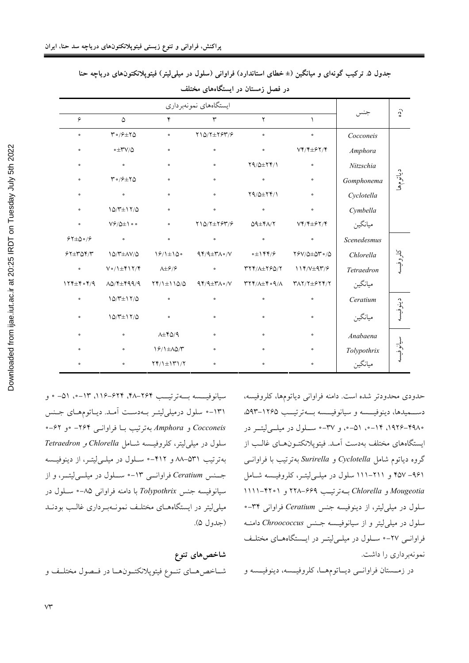|              |                                                                          |                                       |                              |                                                      | $\hat{c}$                                              |             |           |
|--------------|--------------------------------------------------------------------------|---------------------------------------|------------------------------|------------------------------------------------------|--------------------------------------------------------|-------------|-----------|
| ۶            | ۵                                                                        | ۴                                     | ٣                            | ۲                                                    | $\mathcal{L}$                                          |             |           |
| $\circ$      | $\mathsf{r} \cdot \mathsf{r} \in \mathsf{r} \mathsf{r}$                  | $\bullet$                             | $Y10/Y \pm Y5Y/\mathcal{S}$  | $\circ$                                              | $\bullet$                                              | Cocconeis   |           |
| $\bullet$    | ∘±٣٧/۵                                                                   | $\circ$                               | $\bullet$                    | $\bullet$                                            | $VY/Y \pm YY/Y$                                        | Amphora     | دياتومها  |
| $\bullet$    | $\bullet$                                                                | $\bullet$                             | $\bullet$                    | $Y9/\Delta \pm YY/1$                                 | $\bullet$                                              | Nitzschia   |           |
| $\circ$      | $\mathcal{M} \circ \mathcal{S} \pm \mathcal{N} \mathcal{Q}$              | $\circ$                               | $\bullet$                    | $\circ$                                              | $\bullet$                                              | Gomphonema  |           |
| $\bullet$    | $\bullet$                                                                | $\bullet$                             | $\bullet$                    | $Y9/\Delta \pm Y9/\gamma$                            | $\bullet$                                              | Cyclotella  |           |
| $\circ$      | $10/T \pm 17/\Delta$                                                     | $\bullet$                             | $\bullet$                    | $\circ$                                              | $\bullet$                                              | Cymbella    |           |
| $\circ$      | $\mathsf{V}\hat{\mathsf{F}}/\hat{\mathsf{Q}}\pm\mathsf{I}\bullet\bullet$ | $\bullet$                             | $Y10/Y \pm Y5Y/\mathcal{S}$  | $QQ \pm Y \wedge / Y$                                | $VY/Y \pm YY/Y$                                        | ميانگين     |           |
| $57\pm0.8$   | $\bullet$                                                                | $\bullet$                             | $\bullet$                    | $\circ$                                              | $\bullet$                                              | Scenedesmus |           |
| $57\pm70$    | $10/T \pm \Lambda V/\Delta$                                              | $19/1 \pm 10$                         | $94/4 \pm r \wedge \cdot /V$ | $\circ \pm 1 \mathfrak{f} \mathfrak{f}/\mathfrak{f}$ | $Y \mathcal{S} V / \Delta \pm \Delta Y \circ / \Delta$ | Chlorella   | كلروفيسه  |
| $\circ$      | $V \circ / \pm \Upsilon \setminus \Upsilon / \Upsilon$                   | $\lambda \pm \frac{\varphi}{\varphi}$ | $\bullet$                    | TYY/A±Y&0/Y                                          | $114/V \pm 97/9$                                       | Tetraedron  |           |
| $174\pm 4.4$ | $\Lambda\Delta/\Upsilon\pm\Upsilon$ 99/9                                 | $\gamma\gamma/\pm110/2$               | $94/4 \pm r \wedge \cdot /V$ | A/P · 9/1+ 1                                         | $Y\Lambda Y/Y \pm 9YY/Y$                               | ميانگين     |           |
| $\bullet$    | $10/T \pm 17/\Delta$                                                     | $\bullet$                             | $\bullet$                    | $\bullet$                                            | $\bullet$                                              | Ceratium    |           |
| $\bullet$    | $10/T \pm 17/\Delta$                                                     | $\bullet$                             | $\bullet$                    | $\bullet$                                            | $\bullet$                                              | ميانگين     | دينوفيسه  |
| $\circ$      | $\bullet$                                                                | $\lambda \pm \gamma \Delta / 9$       | $\bullet$                    | $\circ$                                              | $\bullet$                                              | Anabaena    |           |
| $\bullet$    | $\bullet$                                                                | $19/1 \pm \Lambda \Delta/T$           | $\bullet$                    | $\circ$                                              | $\bullet$                                              | Tolypothrix | سيانوفيسه |
| $\bullet$    | $\bullet$                                                                | $YY/\pm YY/\gamma$                    | $\bullet$                    | $\circ$                                              | $\bullet$                                              | ميانگين     |           |

جدول ۵. ترکیب گونهای و میانگین (± خطای استاندارد) فراوانی (سلول در میلی[یتر) فیتوپلانکتون@های دریاچه حنا در فصل زمستان در ایستگاههای مختلف

سیانوفیـــــــــه بـــــهترتیــــب ۲۶۴–۱۱۶–۱۱۶، ۵۳–۰ و و ۱۳۱-° سلول درمیلی لیتـر بـهدسـت آمـد. دیـاتومهـای جـنس Cocconeis و Amphora بهترتيب بــا فراوانــي ۲۶۴– °و ۶۲–°  $Tetraedron$  *و Chlorella و Chlorella* بهترتيب ٥٣١-٨٨ و ٤١٢-٥ سلول در ميلي ليتـر، از دينوفيـسه جسنس Ceratium فراوانسی ١٣-• سلول در ميل<sub>سى</sub>ليتسر، و از سيانوفيسه جنس Tolypothrix با دامنه فراواني ٨۵-• سـلول در میلی لیتر در ایستگاههـای مختلـف نمونـهبـرداری غالـب بودنـد ( جدول ۵).

شاخص۵های تنوع شــاخص هــاي تنــوع فيتوپلانكتــونهــا در فــصول مختلــف و

حدودي محدودتر شده است. دامنه فراواني دياتومها، كلروفيسه، دســـميدها، دينوفيــــسه و سيانوفيـــسه بــــهترتيـــب ۱۲۶۵–۵۹۳. -۱۹۲۵–۱۹۲۶، ۱۴–۰، ۵۱–۰، و ۳۷–۰ ســلول در میلـــیلیتـــر در ايستگاههاي مختلف بهدست آمـد. فيتوپلانكتـونهـاي غالـب از گروه دیاتوم شامل *Cyclotella و Surirella* بهترتیب با فراوانسی ۹۶۱– ۴۵۷ و ۲۱۱–۱۱۱ سلول در میلـی(یتـر، کلروفیــسه شــامل Mougeotia و Chlorella بــهترتيـب ۶۶۹–۲۲۸ و ۴۲۰۱–۱۱۱۱ سلول در میل<sub>م</sub>لیتر، از دینوفیسه جنس Ceratium فراوان<sub>ی</sub> ۳۴-• سلول در میل<sub>ی</sub>لیتر و از سیانوفیـسه جـنس Chroococcus دامنــه فراوانسی ٢٧-• سلول در میله لیتر در ایستگاههای مختلف نمونهبر داري را داشت.

در زمــستان فراوانــي ديــاتومهــا، كلروفيــسه، دينوفيــسه و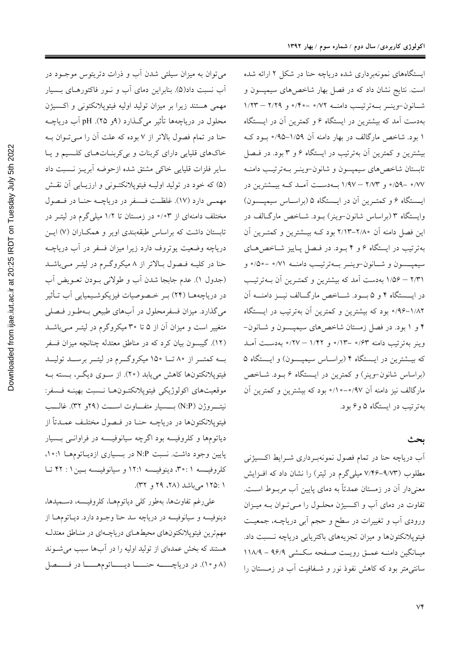اکولوژی کاربردی/ سال دوم / شماره سوم / بهار ۱۳۹۲

ایستگاههای نمونهبرداری شده دریاچه حنا در شکل ۲ ارائه شده است. نتایج نشان داد که در فصل بهار شاخص های سیمپسون و شانون-وينسر بــهترتيـب دامنــه ٧٢/ه -٢٠/٠ و ٢/٢٩ - ١/٢٣ بهدست آمد که بیشترین در ایستگاه ۶ و کمترین آن در ایـستگاه ۱ بود. شاخص مارگالف در بهار دامنه آن ۱/۵۹–۰/۹۵ بود ک بیشترین و کمترین آن بهترتیب در ایستگاه ۶ و ۳ بود. در فیصل تابستان شاخص هاي سيمپسون و شانون-وينـر بـهترتيـب دامنـه ۷۷~ -۵۹/° و ۲/۷۳ – ۱/۹۷ بــهدســت آمــد کــه بيــشترين در ایستگاه ۶ و کمتـرین آن در ایـستگاه ۵ (براسـاس سیمپـسون) وایستگاه ۳ (براساس شانون-وینر) بـود. شـاخص مارگـالف در این فصل دامنه آن ۲/۸۰–۲/۱۳ بود کــه بیــشترین و کمتـرین آن بهترتیب در ایستگاه ۶ و ۴ بـود. در فـصل پـاییز شـاخصهـای سيميــسون و شــانون-وينــر بــهترتيــب دامنــه ٠/٧١ -٥٥/٠ و ۲/۳۱ – ۱/۵۶ بهدست آمد که بیشترین و کمتـرین آن بــهترتیـب در ایسستگاه ۴ و ۵ بسود. شــاخص مارگــالف نیــز دامنـــه آن ۰/۹۶–۱/۸۲ بود که بیشترین و کمترین آن بهترتیب در ایـستگاه ۴ و ۱ بود. در فصل زمستان شاخصهای سیمپـسون و شـانون-وينر بهترتيب دامنه ۶۳٪ - ١/٣٪ و ١/٤٢ – ٢٧٪ بهدست أمـد که بیـشترین در ایـستگاه ۴ (براسـاس سیمپـسون) و ایـستگاه ۵ (براساس شانون-وینر) و کمترین در ایستگاه ۶ بـود. شـاخص مارگالف نیز دامنه آن ۰٫۹۷–۱۰/۰ بود که بیشترین و کمترین آن بهترتیب در ایستگاه ۵ وع بود.

### ىحث

آب دریاچه حنا در تمام فصول نمونهبـرداری شــرایط اکــسیژنـی مطلوب (۹/۷۳–۷/۴۶ میلی گرم در لیتر) را نشان داد که افـزایش معنیدار آن در زمستان عمدتاً به دمای پایین آب مربوط است. تفاوت در دمای آب و اکسیژن محلـول را مـیتـوان بــه میــزان ورودی آب و تغییرات در سطح و حجم آبی دریاچـه، جمعیـت فیتوپلانکتونها و میزان تجزیههای باکتریایی دریاچه نسبت داد. میـانگین دامنــه عمــق رویــت صــفحه سکــشی ۹۶/۹ - ۱۱۸/۹ سانتی متر بود که کاهش نفوذ نور و شـفافیت آب در زمــستان را

می توان به میزان سیلتی شدن آب و ذرات دتریتوس موجــود در آب نسبت داد(۵). بنابراین دمای آب و نـور فاکتورهـای بـسیار مهمی هستند زیرا بر میزان تولید اولیه فیتوپلانکتونی و اکسیژن محلول در دریاچهها تأثیر میگذارد (۹و ۲۵). pH آب دریاچـه حنا در تمام فصول بالاتر از ۷ بوده که علت آن را مـی تـوان بـه خاکهای قلیایی دارای کربنات و بیکربنـاتهـای کلـسیم و یـا سایر فلزات قلیایی خاکی مشتق شده ازحوضه آبریـز نـسبت داد (۵) که خود در تولید اولیـه فیتوپلانکتـونی و ارزیـابی آن نقـش مهمـی دارد (١٧). غلظـت فـسفر در دریاچــه حنـا در فـصول مختلف دامنهای از ۰/۰۳ در زمستان تا ۱/۲ میلیگرم در لیتـر در تابستان داشت که براساس طبقهبندی اویر و همکـاران (۷) ایـن دریاچه وضعیت یوتروف دارد زیرا میزان فسفر در آب دریاچــه حنا در کلیـه فـصول بـالاتر از ۸ میکروگـرم در لیتـر مـیباشـد (جدول ۱). عدم جابجا شدن أب و طولانی بـودن تعـویض أب در دریاچههـا (۲۴) بـر خـصوصیات فیزیکوشـیمیایی آب تـأثیر میگذارد. میزان فسفرمحلول در آبهای طبیعی بـهطـور فـصلی متغییر است و میزان آن از ۵ تا ۳۰ میکروگرم در لیتـر مـیباشـد (١٢). گیبسون بیان کرد که در مناطق معتدله چنانچه میزان فسفر بــه کمتــر از ۸۰ تــا ۱۵۰ میکروگــرم در لیتــر برســد تولیــد فیتوپلانکتونها کاهش می،یابد (۲۰). از سـوی دیگـر، بـسته بـه موقعيتهاى اكولوژيكي فيتوپلانكتونها نسبت بهينـه فسفر: نيتـــروژن (N:P) بــــسيار متفــــاوت اســــت (٢٩و ٣٢). غالـــب فیتوپلانکتونها در دریاچــه حنــا در فــصول مختلــف عمــدتاً از دیاتومها و کلروفیسه بود اگرچه سیانوفیـسه در فراوانــی بـسیار پایین وجود داشت. نسبت N:P در بـسیاری ازدیـاتومهـا ۰: ۰۱ كلروفيـسه ٢٠:١، دينوفيـسه ١٢:١ و سيانوفيـسه بـين١: ۴٢ تـا ۱ :۱۲۵ می باشد (۲۸، ۲۹ و ۳۲).

على رغم تفاوتها، بهطور كلي دياتومهـا، كلروفيـسه، دسـميدها، دینوفیسه و سیانوفیسه در دریاچه سد حنا وجـود دارد. دیـاتومهـا از مهمترین فیتوپلانکتونهای محیطهـای دریاچـهای در منـاطق معتدلـه هستند که بخش عمدهای از تولید اولیه را در آبها سبب می شوند (٨ و ١٠). در درياچـــــه حنـــــا ديـــــاتومهـــــا در فــــصل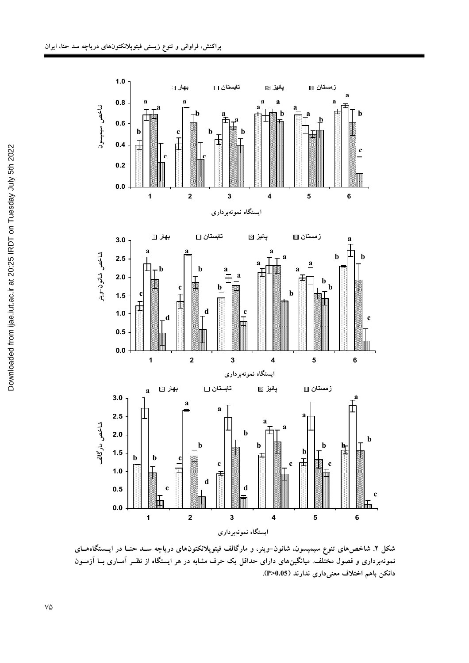

شکل ۲. شاخص۵های تنوع سیمپسون، شانون–وینر، و مارگالف فیتوپلانکتونهای دریاچه ســد حنــا در ایـــــتگاههــای نمونهبرداری و فصول مختلف. میانگینهای دارای حداقل یک حرف مشابه در هر ایستگاه از نظـر امــاری بــا ازمــون **.(P>0.05) -- :0 I\*%] <+ C)**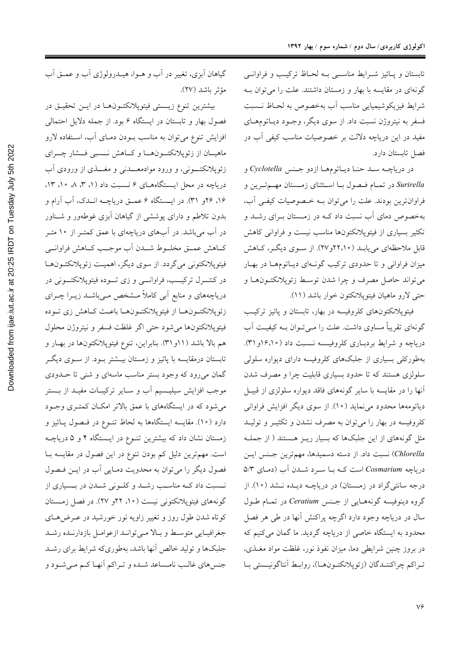تابستان و پائيز شرايط مناسبي بـه لحـاظ تركيـب و فراوانـي گونهای در مقایسه با بهار و زمستان داشتند. علت را می توان ب شرايط فيزيكوشيميايي مناسب أب بهخصوص به لحـاظ نـسبت فسفر به نیتروژن نسبت داد. از سوی دیگر، وجـود دیـاتومهـای مفید در این دریاچه دلالت بر خصوصیات مناسب کیفی آب در فصل تابستان دارد.

در درياچـه سـد حنـا ديـاتومهـا ازدو جـنس Cyclotella و Surirella در تمام فهول با استثناي زمستان مهم ترين و فراوانترین بودند. علت را میتوان بـه خـصوصیات کیفـی آب، بهخصوص دمای آب نسبت داد کـه در زمـستان بـرای رشـد و تکثیر بسیاری از فیتوپلانکتونها مناسب نیست و فراوانی کاهش قابل ملاحظهای می،یابـد (۲۲،۱۰و۲۷). از سـوی دیگـر، کـاهش میزان فراوانی و تا حدودی ترکیب گونـهای دیـاتومهـا در بهـار مي تواند حاصل مصرف و چرا شدن توسط زئوپلانكتـونهـا و حتى لارو ماهيان فيتوپلانكتون خوار باشد (١١).

فیتوپلانکتونهای کلروفیسه در بهار، تابستان و پائیز ترکیب گونهای تقریباً مساوی داشت. علت را مـیتوان بـه کیفیـت آب دریاچه و شرایط بردباری کلروفیسه نـسبت داد (۱۶،۱۰و ۳۱). بهطورکلی بسیاری از جلبکهای کلروفیسه دارای دیواره سلولی سلولزی هستند که تا حدود بسیاری قابلیت چرا و مصرف شدن أنها را در مقایسه با سایر گونههای فاقد دیواره سلولزی از قبیـل دیاتومهها محدود می نماید (١٠). از سوی دیگر افزایش فراوانی کلروفیسه در بهار را می توان به مصرف نشدن و تکثیـر و تولیـد مثل گونههای از این جلبکها که بسیار ریـز هـستند ( از جملـه Chlorella) نسبت داد. از دسته دسمیدها، مهمترین جنس ایس دریاچه Cosmarium است کـه بـا سـرد شـدن آب (دمـای ۵/۳ درجه سانتیگراد در زمستان) در دریاچـه دیـده نـشد (١٠). از گروه دینوفیسه گونههایی از جنس Ceratium در تمـام طـول سال در دریاچه وجود دارد اگرچه پراکنش آنها در طی هر فصل محدود به ایستگاه خاصی از دریاچه گردید. ما گمان میکنیم که در بروز چنین شرایطی دما، میزان نفوذ نور، غلظت مواد مغـذی، تراكم چراكننـدگان (زئوپلانكتـونهـا)، روابـط آنتاگونيـستى بـا

گیاهان اَبزی، تغییر در اَب و هــوا، هیــدرولوژی اَب و عمــق اَب مؤثر باشد (٢٧).

بيشترين تنوع زيستي فيتوپلانكتـونهـا در ايـن تحقيـق در فصول بهار و تابستان در ایستگاه ۶ بود. از جمله دلایل احتمالی افزایش تنوع میتوان به مناسب بــودن دمــای آب، اســتفاده لارو ماهيــان از زئوپلانكتــونهــا و كــاهش نــسبى فــشار چـــراي زئوپلانکتــونی، و ورود موادمعـــدنی و مغـــذی از ورودی آب دریاچه در محل ایستگاههای ۶ نـسبت داد (۱، ۳، ۸ ه۱، ۱۳، ۱۶، ۲۶و ۳۱). در ایــستگاه ۶ عمــق دریاچــه انــدک، آب آرام و بدون تلاطم و دارای پوششی از گیاهان اَبزی غوطهور و شـناور در آب میباشد. در آبهای دریاچهای با عمق کمتـر از ۱۰متـر كــاهش عمــق مخلــوط شـــدن أب موجــب كــاهش فراوانــي فیتوپلانکتونی میگردد. از سوی دیگر، اهمیت زئوپلانکتـونهـا در کنتـــرل ترکيـــب، فراوانــــی و زی تـــوده فيتوپلانکتـــونی در دریاچههای و منابع اَبی کاملاً مــشخص مــیباشــد زیــرا چــرای زئوپلانكتـونهـا از فيتوپلانكتـونهـا باعـث كـاهش زي تـوده فيتوپلانكتونها مى شود حتى اگر غلظت فسفر و نيتروژن محلول هم بالا باشد (۱۱و ۳۱). بنابراین، تنوع فیتوپلانکتونها در بهـار و تابستان درمقایسه با پائیز و زمستان بیــشتر بــود. از ســوی دیگــر گمان میرود که وجود بستر مناسب ماسهای و شنی تا حــدودی موجب افزایش سیلیـسیم آب و سـایر ترکیبـات مفیــد از بــستر میشود که در ایستگاههای با عمق بالاتر امکـان کمتـری وجـود دارد (۱۰). مقایسه ایستگاهها به لحاظ تنــوع در فــصول پــائیز و زمستان نشان داد که بیشترین تنـوع در ایـستگاه ۴ و ۵ دریاچــه است. مهم ترین دلیل کم بودن تنوع در این فصول در مقایسه بـا فصول دیگر را می توان به محدویت دمایی آب در ایــن فـصول نـسبت داد کـه مناسـب رشـد و کلـونی شـدن در بـسیاری از گونههای فیتوپلانکتونی نیست (۱۰، ۲۲و ۲۷). در فصل زمستان کوتاه شدن طول روز و تغییر زاویه نور خورشید در عـرضهــای جغرافيايي متوسط وبالا مىتوانيد ازعوامل بازدارنيده رشيد جلبکها و تولید خالص آنها باشد، بهطوریکه شرایط برای رشـد جنس های غالـب نامـساعد شـده و تـراکم أنهـا کـم مـی شـود و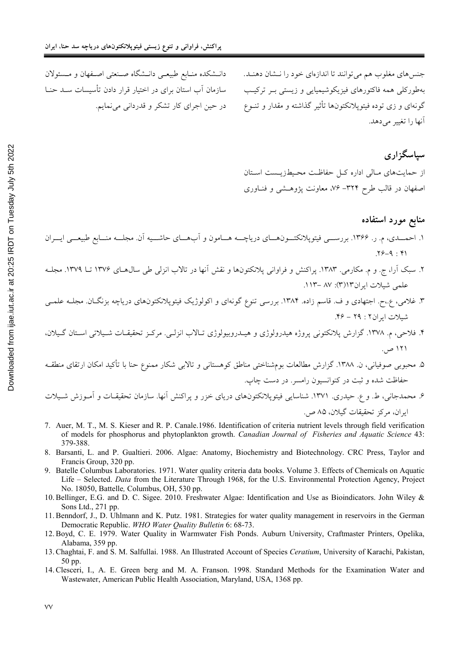دانــشکده منــابع طبيعــي دانــشگاه صــنعتـي اصــفهان و مــسئولان

سازمان آب استان برای در اختیار قرار دادن تأسیسات سـد حنـا

در حين اجراي كار تشكر و قدرداني مي نمايم.

جنس های مغلوب هم می توانند تا اندازهای خود را نــشان دهنــد. بهطورکلی همه فاکتورهای فیزیکوشیمیایی و زیستی بـر ترکیـب گونهای و زی توده فیتوپلانکتونها تأثیر گذاشته و مقدار و تنــوع آنها را تغییر مے دهد.

سیاسگزاری از حمایتهای مـالی اداره کــا, حفاظـت محــط; بــست اسـتان اصفهان در قالب طرح ۳۲۴–۷۶، معاونت پژوهشی و فنـاوری

#### منابع مورد استفاده

- ۱. احمـــدي، م. ر. ۱۳۶۶. بررســـي فيتوپلانكتـــون١حــاي درياچـــه هـــامون و اَبهـــاي حاشـــيه اَن. مجلـــه منـــابع طبيعـــي ايـــران  $.79 - 9 : 19$
- ۲. سبک آرا، ج. و م. مکارمی. ۱۳۸۳. پراکنش و فراوانی پلانکتونها و نقش آنها در تالاب انزلی طی سال۱۳۷۶ تا ۱۳۷۹. مجل علمي شيلات ابران١٣(٣): ٨٧ -١١٣.
- ۳. غلامی، ع.،ح. اجتهادی و ف. قاسم زاده. ۱۳۸۴. بررسی تنوع گونهای و اکولوژیک فیتوپلانکتونهای دریاچه بزنگـان. مجلـه علمـی شيلات ايران ٢ : ٢٩ - ٢۶.
- ۴. فلاحی، م. ۱۳۷۸. گزارش پلانکتونی پروژه هیدرولوژی و هیـدروبیولوژی تـالاب انزلـی. مرکـز تحقیقـات شـیلاتی اسـتان گـیلان، ۱۲۱ ص.
- ۵. محبوبی صوفیانی، ن. ۱۳۸۸. گزارش مطالعات بومشناختی مناطق کوهستانی و تالابی شکار ممنوع حنا با تأکید امکان ارتقای منطقـه حفاظت شده و ثبت در کنوانسیون رامسر. در دست چاپ.

۶. محمدجانی، ط. و ع. حیدری. ۱۳۷۱. شناسایی فیتوپلانکتونهای دریای خزر و پراکنش آنها. سازمان تحقیقـات و آمـوزش شـیلات ابران، مركز تحقيقات گيلان، ۸۵ ص.

- 7. Auer, M. T., M. S. Kieser and R. P. Canale 1986. Identification of criteria nutrient levels through field verification of models for phosphorus and phytoplankton growth. Canadian Journal of Fisheries and Aquatic Science 43: 379-388.
- 8. Barsanti, L. and P. Gualtieri. 2006. Algae: Anatomy, Biochemistry and Biotechnology. CRC Press, Taylor and Francis Group, 320 pp.
- 9. Batelle Columbus Laboratories, 1971. Water quality criteria data books. Volume 3. Effects of Chemicals on Aquatic Life – Selected. Data from the Literature Through 1968, for the U.S. Environmental Protection Agency, Project No. 18050, Battelle, Columbus, OH, 530 pp.
- 10. Bellinger, E.G. and D. C. Sigee. 2010. Freshwater Algae: Identification and Use as Bioindicators. John Wiley & Sons Ltd., 271 pp.
- 11. Benndorf, J., D. Uhlmann and K. Putz. 1981. Strategies for water quality management in reservoirs in the German Democratic Republic. WHO Water Quality Bulletin 6: 68-73.
- 12. Boyd, C. E. 1979. Water Quality in Warmwater Fish Ponds. Auburn University, Craftmaster Printers, Opelika, Alabama, 359 pp.
- 13. Chaghtai, F. and S. M. Salfullai. 1988. An Illustrated Account of Species Ceratium, University of Karachi, Pakistan, 50 pp.
- 14. Clesceri, I., A. E. Green berg and M. A. Franson. 1998. Standard Methods for the Examination Water and Wastewater, American Public Health Association, Maryland, USA, 1368 pp.